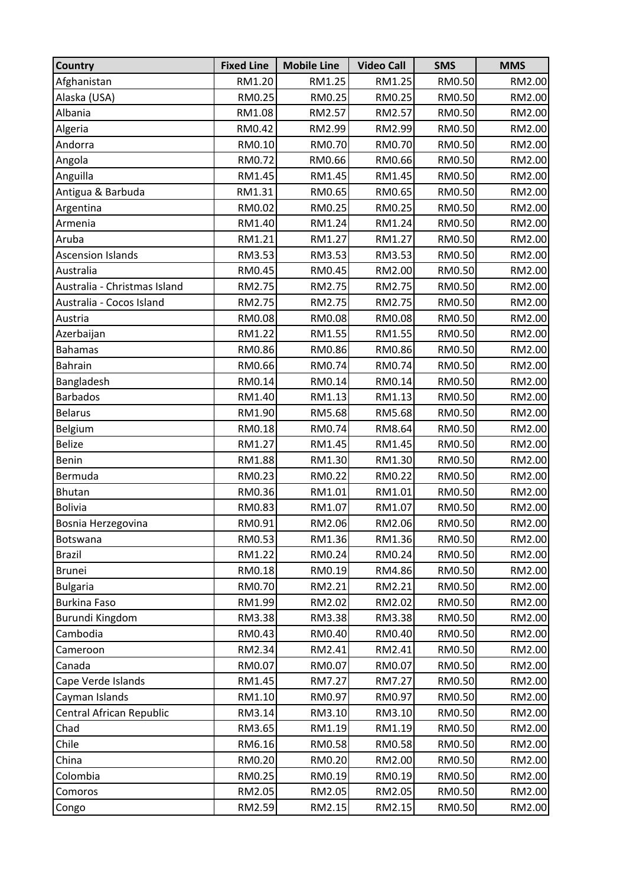| <b>Country</b>               | <b>Fixed Line</b> | <b>Mobile Line</b> | <b>Video Call</b> | <b>SMS</b> | <b>MMS</b> |
|------------------------------|-------------------|--------------------|-------------------|------------|------------|
| Afghanistan                  | RM1.20            | RM1.25             | RM1.25            | RM0.50     | RM2.00     |
| Alaska (USA)                 | RM0.25            | RM0.25             | RM0.25            | RM0.50     | RM2.00     |
| Albania                      | RM1.08            | RM2.57             | RM2.57            | RM0.50     | RM2.00     |
| Algeria                      | RM0.42            | RM2.99             | RM2.99            | RM0.50     | RM2.00     |
| Andorra                      | RM0.10            | RM0.70             | RM0.70            | RM0.50     | RM2.00     |
| Angola                       | RM0.72            | RM0.66             | RM0.66            | RM0.50     | RM2.00     |
| Anguilla                     | RM1.45            | RM1.45             | RM1.45            | RM0.50     | RM2.00     |
| Antigua & Barbuda            | RM1.31            | RM0.65             | RM0.65            | RM0.50     | RM2.00     |
| Argentina                    | RM0.02            | RM0.25             | RM0.25            | RM0.50     | RM2.00     |
| Armenia                      | RM1.40            | RM1.24             | RM1.24            | RM0.50     | RM2.00     |
| Aruba                        | RM1.21            | RM1.27             | RM1.27            | RM0.50     | RM2.00     |
| <b>Ascension Islands</b>     | RM3.53            | RM3.53             | RM3.53            | RM0.50     | RM2.00     |
| Australia                    | RM0.45            | RM0.45             | RM2.00            | RM0.50     | RM2.00     |
| Australia - Christmas Island | RM2.75            | RM2.75             | RM2.75            | RM0.50     | RM2.00     |
| Australia - Cocos Island     | RM2.75            | RM2.75             | RM2.75            | RM0.50     | RM2.00     |
| Austria                      | RM0.08            | RM0.08             | RM0.08            | RM0.50     | RM2.00     |
| Azerbaijan                   | RM1.22            | RM1.55             | RM1.55            | RM0.50     | RM2.00     |
| <b>Bahamas</b>               | RM0.86            | RM0.86             | RM0.86            | RM0.50     | RM2.00     |
| <b>Bahrain</b>               | RM0.66            | RM0.74             | RM0.74            | RM0.50     | RM2.00     |
| Bangladesh                   | RM0.14            | RM0.14             | RM0.14            | RM0.50     | RM2.00     |
| <b>Barbados</b>              | RM1.40            | RM1.13             | RM1.13            | RM0.50     | RM2.00     |
| <b>Belarus</b>               | RM1.90            | RM5.68             | RM5.68            | RM0.50     | RM2.00     |
| Belgium                      | RM0.18            | RM0.74             | RM8.64            | RM0.50     | RM2.00     |
| <b>Belize</b>                | RM1.27            | RM1.45             | RM1.45            | RM0.50     | RM2.00     |
| Benin                        | RM1.88            | RM1.30             | RM1.30            | RM0.50     | RM2.00     |
| Bermuda                      | RM0.23            | RM0.22             | RM0.22            | RM0.50     | RM2.00     |
| <b>Bhutan</b>                | RM0.36            | RM1.01             | RM1.01            | RM0.50     | RM2.00     |
| <b>Bolivia</b>               | RM0.83            | RM1.07             | RM1.07            | RM0.50     | RM2.00     |
| Bosnia Herzegovina           | RM0.91            | RM2.06             | RM2.06            | RM0.50     | RM2.00     |
| Botswana                     | RM0.53            | RM1.36             | RM1.36            | RM0.50     | RM2.00     |
| <b>Brazil</b>                | RM1.22            | RM0.24             | RM0.24            | RM0.50     | RM2.00     |
| <b>Brunei</b>                | RM0.18            | RM0.19             | RM4.86            | RM0.50     | RM2.00     |
| <b>Bulgaria</b>              | RM0.70            | RM2.21             | RM2.21            | RM0.50     | RM2.00     |
| <b>Burkina Faso</b>          | RM1.99            | RM2.02             | RM2.02            | RM0.50     | RM2.00     |
| Burundi Kingdom              | RM3.38            | RM3.38             | RM3.38            | RM0.50     | RM2.00     |
| Cambodia                     | RM0.43            | RM0.40             | RM0.40            | RM0.50     | RM2.00     |
| Cameroon                     | RM2.34            | RM2.41             | RM2.41            | RM0.50     | RM2.00     |
| Canada                       | RM0.07            | RM0.07             | RM0.07            | RM0.50     | RM2.00     |
| Cape Verde Islands           | RM1.45            | RM7.27             | RM7.27            | RM0.50     | RM2.00     |
| Cayman Islands               | RM1.10            | RM0.97             | RM0.97            | RM0.50     | RM2.00     |
| Central African Republic     | RM3.14            | RM3.10             | RM3.10            | RM0.50     | RM2.00     |
| Chad                         | RM3.65            | RM1.19             | RM1.19            | RM0.50     | RM2.00     |
| Chile                        | RM6.16            | RM0.58             | RM0.58            | RM0.50     | RM2.00     |
| China                        | RM0.20            | RM0.20             | RM2.00            | RM0.50     | RM2.00     |
| Colombia                     | RM0.25            | RM0.19             | RM0.19            | RM0.50     | RM2.00     |
| Comoros                      | RM2.05            | RM2.05             | RM2.05            | RM0.50     | RM2.00     |
| Congo                        | RM2.59            | RM2.15             | RM2.15            | RM0.50     | RM2.00     |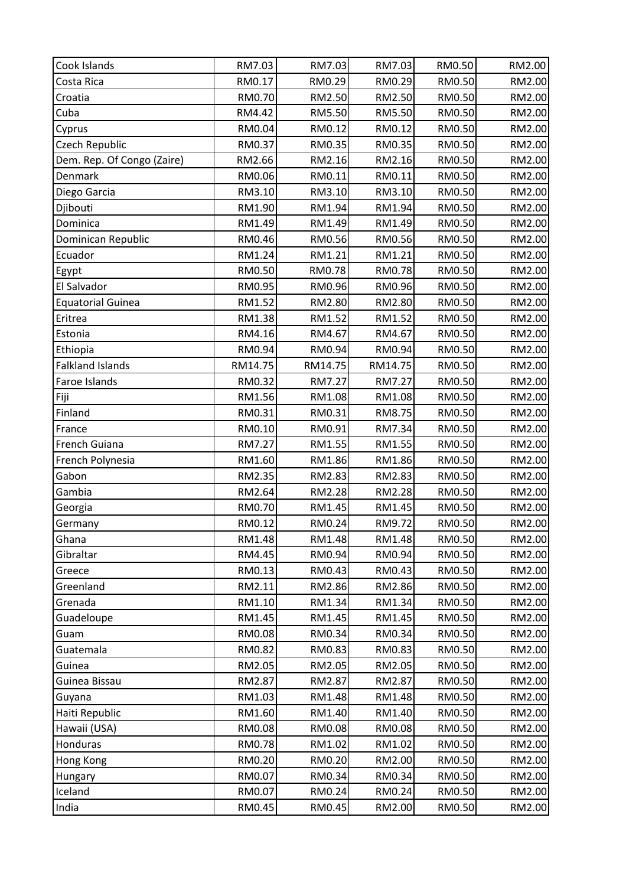| Cook Islands               | RM7.03  | RM7.03  | RM7.03        | RM0.50 | RM2.00 |
|----------------------------|---------|---------|---------------|--------|--------|
| Costa Rica                 | RM0.17  | RM0.29  | RM0.29        | RM0.50 | RM2.00 |
| Croatia                    | RM0.70  | RM2.50  | RM2.50        | RM0.50 | RM2.00 |
| Cuba                       | RM4.42  | RM5.50  | <b>RM5.50</b> | RM0.50 | RM2.00 |
| Cyprus                     | RM0.04  | RM0.12  | RM0.12        | RM0.50 | RM2.00 |
| Czech Republic             | RM0.37  | RM0.35  | RM0.35        | RM0.50 | RM2.00 |
| Dem. Rep. Of Congo (Zaire) | RM2.66  | RM2.16  | RM2.16        | RM0.50 | RM2.00 |
| Denmark                    | RM0.06  | RM0.11  | RM0.11        | RM0.50 | RM2.00 |
| Diego Garcia               | RM3.10  | RM3.10  | RM3.10        | RM0.50 | RM2.00 |
| Djibouti                   | RM1.90  | RM1.94  | RM1.94        | RM0.50 | RM2.00 |
| Dominica                   | RM1.49  | RM1.49  | RM1.49        | RM0.50 | RM2.00 |
| Dominican Republic         | RM0.46  | RM0.56  | RM0.56        | RM0.50 | RM2.00 |
| Ecuador                    | RM1.24  | RM1.21  | RM1.21        | RM0.50 | RM2.00 |
| Egypt                      | RM0.50  | RM0.78  | RM0.78        | RM0.50 | RM2.00 |
| El Salvador                | RM0.95  | RM0.96  | RM0.96        | RM0.50 | RM2.00 |
| <b>Equatorial Guinea</b>   | RM1.52  | RM2.80  | RM2.80        | RM0.50 | RM2.00 |
| Eritrea                    | RM1.38  | RM1.52  | RM1.52        | RM0.50 | RM2.00 |
| Estonia                    | RM4.16  | RM4.67  | RM4.67        | RM0.50 | RM2.00 |
| Ethiopia                   | RM0.94  | RM0.94  | RM0.94        | RM0.50 | RM2.00 |
| <b>Falkland Islands</b>    | RM14.75 | RM14.75 | RM14.75       | RM0.50 | RM2.00 |
| Faroe Islands              | RM0.32  | RM7.27  | RM7.27        | RM0.50 | RM2.00 |
| Fiji                       | RM1.56  | RM1.08  | RM1.08        | RM0.50 | RM2.00 |
| Finland                    | RM0.31  | RM0.31  | RM8.75        | RM0.50 | RM2.00 |
| France                     | RM0.10  | RM0.91  | RM7.34        | RM0.50 | RM2.00 |
| French Guiana              | RM7.27  | RM1.55  | RM1.55        | RM0.50 | RM2.00 |
| French Polynesia           | RM1.60  | RM1.86  | RM1.86        | RM0.50 | RM2.00 |
| Gabon                      | RM2.35  | RM2.83  | RM2.83        | RM0.50 | RM2.00 |
| Gambia                     | RM2.64  | RM2.28  | RM2.28        | RM0.50 | RM2.00 |
| Georgia                    | RM0.70  | RM1.45  | RM1.45        | RM0.50 | RM2.00 |
| Germany                    | RM0.12  | RM0.24  | RM9.72        | RM0.50 | RM2.00 |
| Ghana                      | RM1.48  | RM1.48  | RM1.48        | RM0.50 | RM2.00 |
| Gibraltar                  | RM4.45  | RM0.94  | RM0.94        | RM0.50 | RM2.00 |
| Greece                     | RM0.13  | RM0.43  | RM0.43        | RM0.50 | RM2.00 |
| Greenland                  | RM2.11  | RM2.86  | RM2.86        | RM0.50 | RM2.00 |
| Grenada                    | RM1.10  | RM1.34  | RM1.34        | RM0.50 | RM2.00 |
| Guadeloupe                 | RM1.45  | RM1.45  | RM1.45        | RM0.50 | RM2.00 |
| Guam                       | RM0.08  | RM0.34  | RM0.34        | RM0.50 | RM2.00 |
| Guatemala                  | RM0.82  | RM0.83  | RM0.83        | RM0.50 | RM2.00 |
| Guinea                     | RM2.05  | RM2.05  | RM2.05        | RM0.50 | RM2.00 |
| Guinea Bissau              | RM2.87  | RM2.87  | RM2.87        | RM0.50 | RM2.00 |
| Guyana                     | RM1.03  | RM1.48  | RM1.48        | RM0.50 | RM2.00 |
| Haiti Republic             | RM1.60  | RM1.40  | RM1.40        | RM0.50 | RM2.00 |
| Hawaii (USA)               | RM0.08  | RM0.08  | RM0.08        | RM0.50 | RM2.00 |
| Honduras                   | RM0.78  | RM1.02  | RM1.02        | RM0.50 | RM2.00 |
| Hong Kong                  | RM0.20  | RM0.20  | RM2.00        | RM0.50 | RM2.00 |
| Hungary                    | RM0.07  | RM0.34  | RM0.34        | RM0.50 | RM2.00 |
| Iceland                    | RM0.07  | RM0.24  | RM0.24        | RM0.50 | RM2.00 |
| India                      | RM0.45  | RM0.45  | RM2.00        | RM0.50 | RM2.00 |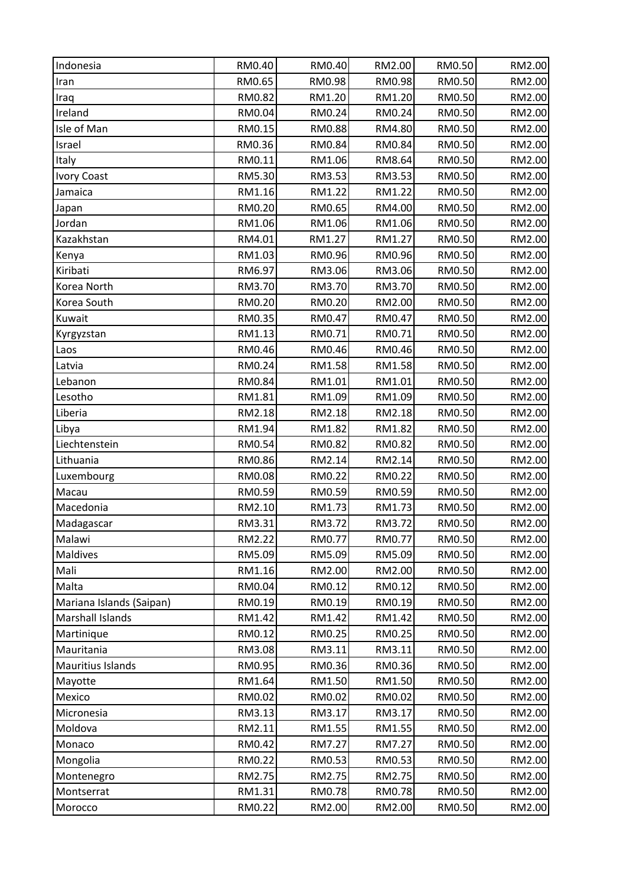| Indonesia                | RM0.40 | RM0.40 | RM2.00 | RM0.50 | RM2.00 |
|--------------------------|--------|--------|--------|--------|--------|
| Iran                     | RM0.65 | RM0.98 | RM0.98 | RM0.50 | RM2.00 |
| Iraq                     | RM0.82 | RM1.20 | RM1.20 | RM0.50 | RM2.00 |
| Ireland                  | RM0.04 | RM0.24 | RM0.24 | RM0.50 | RM2.00 |
| Isle of Man              | RM0.15 | RM0.88 | RM4.80 | RM0.50 | RM2.00 |
| Israel                   | RM0.36 | RM0.84 | RM0.84 | RM0.50 | RM2.00 |
| Italy                    | RM0.11 | RM1.06 | RM8.64 | RM0.50 | RM2.00 |
| <b>Ivory Coast</b>       | RM5.30 | RM3.53 | RM3.53 | RM0.50 | RM2.00 |
| Jamaica                  | RM1.16 | RM1.22 | RM1.22 | RM0.50 | RM2.00 |
| Japan                    | RM0.20 | RM0.65 | RM4.00 | RM0.50 | RM2.00 |
| Jordan                   | RM1.06 | RM1.06 | RM1.06 | RM0.50 | RM2.00 |
| Kazakhstan               | RM4.01 | RM1.27 | RM1.27 | RM0.50 | RM2.00 |
| Kenya                    | RM1.03 | RM0.96 | RM0.96 | RM0.50 | RM2.00 |
| Kiribati                 | RM6.97 | RM3.06 | RM3.06 | RM0.50 | RM2.00 |
| Korea North              | RM3.70 | RM3.70 | RM3.70 | RM0.50 | RM2.00 |
| Korea South              | RM0.20 | RM0.20 | RM2.00 | RM0.50 | RM2.00 |
| Kuwait                   | RM0.35 | RM0.47 | RM0.47 | RM0.50 | RM2.00 |
| Kyrgyzstan               | RM1.13 | RM0.71 | RM0.71 | RM0.50 | RM2.00 |
| Laos                     | RM0.46 | RM0.46 | RM0.46 | RM0.50 | RM2.00 |
| Latvia                   | RM0.24 | RM1.58 | RM1.58 | RM0.50 | RM2.00 |
| Lebanon                  | RM0.84 | RM1.01 | RM1.01 | RM0.50 | RM2.00 |
| Lesotho                  | RM1.81 | RM1.09 | RM1.09 | RM0.50 | RM2.00 |
| Liberia                  | RM2.18 | RM2.18 | RM2.18 | RM0.50 | RM2.00 |
| Libya                    | RM1.94 | RM1.82 | RM1.82 | RM0.50 | RM2.00 |
| Liechtenstein            | RM0.54 | RM0.82 | RM0.82 | RM0.50 | RM2.00 |
| Lithuania                | RM0.86 | RM2.14 | RM2.14 | RM0.50 | RM2.00 |
| Luxembourg               | RM0.08 | RM0.22 | RM0.22 | RM0.50 | RM2.00 |
| Macau                    | RM0.59 | RM0.59 | RM0.59 | RM0.50 | RM2.00 |
| Macedonia                | RM2.10 | RM1.73 | RM1.73 | RM0.50 | RM2.00 |
| Madagascar               | RM3.31 | RM3.72 | RM3.72 | RM0.50 | RM2.00 |
| Malawi                   | RM2.22 | RM0.77 | RM0.77 | RM0.50 | RM2.00 |
| Maldives                 | RM5.09 | RM5.09 | RM5.09 | RM0.50 | RM2.00 |
| Mali                     | RM1.16 | RM2.00 | RM2.00 | RM0.50 | RM2.00 |
| Malta                    | RM0.04 | RM0.12 | RM0.12 | RM0.50 | RM2.00 |
| Mariana Islands (Saipan) | RM0.19 | RM0.19 | RM0.19 | RM0.50 | RM2.00 |
| Marshall Islands         | RM1.42 | RM1.42 | RM1.42 | RM0.50 | RM2.00 |
| Martinique               | RM0.12 | RM0.25 | RM0.25 | RM0.50 | RM2.00 |
| Mauritania               | RM3.08 | RM3.11 | RM3.11 | RM0.50 | RM2.00 |
| Mauritius Islands        | RM0.95 | RM0.36 | RM0.36 | RM0.50 | RM2.00 |
| Mayotte                  | RM1.64 | RM1.50 | RM1.50 | RM0.50 | RM2.00 |
| Mexico                   | RM0.02 | RM0.02 | RM0.02 | RM0.50 | RM2.00 |
| Micronesia               | RM3.13 | RM3.17 | RM3.17 | RM0.50 | RM2.00 |
| Moldova                  | RM2.11 | RM1.55 | RM1.55 | RM0.50 | RM2.00 |
| Monaco                   | RM0.42 | RM7.27 | RM7.27 | RM0.50 | RM2.00 |
| Mongolia                 | RM0.22 | RM0.53 | RM0.53 | RM0.50 | RM2.00 |
| Montenegro               | RM2.75 | RM2.75 | RM2.75 | RM0.50 | RM2.00 |
| Montserrat               | RM1.31 | RM0.78 | RM0.78 | RM0.50 | RM2.00 |
| Morocco                  | RM0.22 | RM2.00 | RM2.00 | RM0.50 | RM2.00 |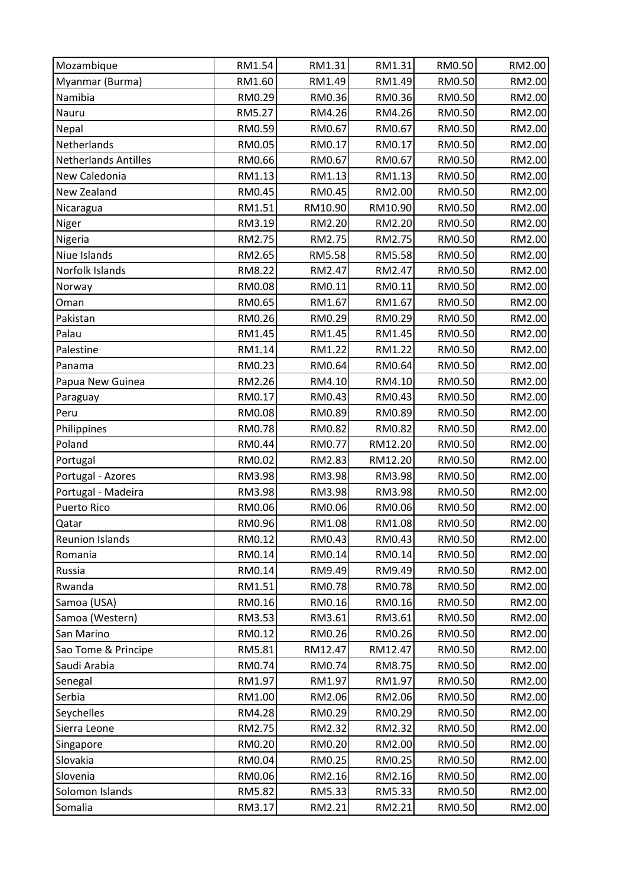| Mozambique           | RM1.54 | RM1.31  | RM1.31  | RM0.50 | RM2.00 |
|----------------------|--------|---------|---------|--------|--------|
| Myanmar (Burma)      | RM1.60 | RM1.49  | RM1.49  | RM0.50 | RM2.00 |
| Namibia              | RM0.29 | RM0.36  | RM0.36  | RM0.50 | RM2.00 |
| Nauru                | RM5.27 | RM4.26  | RM4.26  | RM0.50 | RM2.00 |
| Nepal                | RM0.59 | RM0.67  | RM0.67  | RM0.50 | RM2.00 |
| Netherlands          | RM0.05 | RM0.17  | RM0.17  | RM0.50 | RM2.00 |
| Netherlands Antilles | RM0.66 | RM0.67  | RM0.67  | RM0.50 | RM2.00 |
| New Caledonia        | RM1.13 | RM1.13  | RM1.13  | RM0.50 | RM2.00 |
| New Zealand          | RM0.45 | RM0.45  | RM2.00  | RM0.50 | RM2.00 |
| Nicaragua            | RM1.51 | RM10.90 | RM10.90 | RM0.50 | RM2.00 |
| Niger                | RM3.19 | RM2.20  | RM2.20  | RM0.50 | RM2.00 |
| Nigeria              | RM2.75 | RM2.75  | RM2.75  | RM0.50 | RM2.00 |
| Niue Islands         | RM2.65 | RM5.58  | RM5.58  | RM0.50 | RM2.00 |
| Norfolk Islands      | RM8.22 | RM2.47  | RM2.47  | RM0.50 | RM2.00 |
| Norway               | RM0.08 | RM0.11  | RM0.11  | RM0.50 | RM2.00 |
| Oman                 | RM0.65 | RM1.67  | RM1.67  | RM0.50 | RM2.00 |
| Pakistan             | RM0.26 | RM0.29  | RM0.29  | RM0.50 | RM2.00 |
| Palau                | RM1.45 | RM1.45  | RM1.45  | RM0.50 | RM2.00 |
| Palestine            | RM1.14 | RM1.22  | RM1.22  | RM0.50 | RM2.00 |
| Panama               | RM0.23 | RM0.64  | RM0.64  | RM0.50 | RM2.00 |
| Papua New Guinea     | RM2.26 | RM4.10  | RM4.10  | RM0.50 | RM2.00 |
| Paraguay             | RM0.17 | RM0.43  | RM0.43  | RM0.50 | RM2.00 |
| Peru                 | RM0.08 | RM0.89  | RM0.89  | RM0.50 | RM2.00 |
| Philippines          | RM0.78 | RM0.82  | RM0.82  | RM0.50 | RM2.00 |
| Poland               | RM0.44 | RM0.77  | RM12.20 | RM0.50 | RM2.00 |
| Portugal             | RM0.02 | RM2.83  | RM12.20 | RM0.50 | RM2.00 |
| Portugal - Azores    | RM3.98 | RM3.98  | RM3.98  | RM0.50 | RM2.00 |
| Portugal - Madeira   | RM3.98 | RM3.98  | RM3.98  | RM0.50 | RM2.00 |
| Puerto Rico          | RM0.06 | RM0.06  | RM0.06  | RM0.50 | RM2.00 |
| Qatar                | RM0.96 | RM1.08  | RM1.08  | RM0.50 | RM2.00 |
| Reunion Islands      | RM0.12 | RM0.43  | RM0.43  | RM0.50 | RM2.00 |
| Romania              | RM0.14 | RM0.14  | RM0.14  | RM0.50 | RM2.00 |
| Russia               | RM0.14 | RM9.49  | RM9.49  | RM0.50 | RM2.00 |
| Rwanda               | RM1.51 | RM0.78  | RM0.78  | RM0.50 | RM2.00 |
| Samoa (USA)          | RM0.16 | RM0.16  | RM0.16  | RM0.50 | RM2.00 |
| Samoa (Western)      | RM3.53 | RM3.61  | RM3.61  | RM0.50 | RM2.00 |
| San Marino           | RM0.12 | RM0.26  | RM0.26  | RM0.50 | RM2.00 |
| Sao Tome & Principe  | RM5.81 | RM12.47 | RM12.47 | RM0.50 | RM2.00 |
| Saudi Arabia         | RM0.74 | RM0.74  | RM8.75  | RM0.50 | RM2.00 |
| Senegal              | RM1.97 | RM1.97  | RM1.97  | RM0.50 | RM2.00 |
| Serbia               | RM1.00 | RM2.06  | RM2.06  | RM0.50 | RM2.00 |
| Seychelles           | RM4.28 | RM0.29  | RM0.29  | RM0.50 | RM2.00 |
| Sierra Leone         | RM2.75 | RM2.32  | RM2.32  | RM0.50 | RM2.00 |
| Singapore            | RM0.20 | RM0.20  | RM2.00  | RM0.50 | RM2.00 |
| Slovakia             | RM0.04 | RM0.25  | RM0.25  | RM0.50 | RM2.00 |
| Slovenia             | RM0.06 | RM2.16  | RM2.16  | RM0.50 | RM2.00 |
| Solomon Islands      | RM5.82 | RM5.33  | RM5.33  | RM0.50 | RM2.00 |
| Somalia              | RM3.17 | RM2.21  | RM2.21  | RM0.50 | RM2.00 |